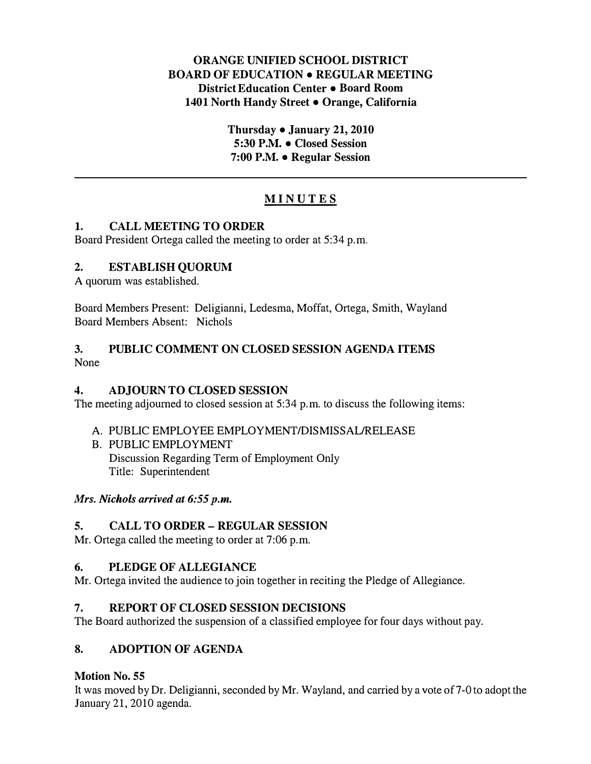## ORANGE UNIFIED SCHOOL DISTRICT BOARD OF EDUCATION • REGULAR MEETING District Education Center • Board Room 1401 North Handy Street • Orange, California

Thursday  $\bullet$  January 21, 2010 5:30 P.M. • Closed Session 7:00 P.M. • Regular Session

# MINUTES

## 1. CALL MEETING TO ORDER

Board President Ortega called the meeting to order at 5:34 p.m.

## 2. ESTABLISH QUORUM

A quorum was established.

Board Members Present: Deligianni, Ledesma, Moffat, Ortega, Smith, Wayland Board Members Absent: Nichols

#### 3. PUBLIC COMMENT ON CLOSED SESSION AGENDA ITEMS None

## 4. ADJOURN TO CLOSED SESSION

The meeting adjourned to closed session at 5:34 p.m. to discuss the following items:

- A. PUBLIC EMPLOYEE EMPLOYMENT/DISMISSAL/RELEASE
- B. PUBLIC EMPLOYMENT Discussion Regarding Term of Employment Only Title: Superintendent

Mrs. Nichols arrived at 6:55 p.m.

## 5. CALL TO ORDER- REGULAR SESSION

Mr. Ortega called the meeting to order at 7:06 p.m.

## 6. PLEDGE OF ALLEGIANCE

Mr. Ortega invited the audience to join together in reciting the Pledge of Allegiance.

## 7. REPORT OF CLOSED SESSION DECISIONS

The Board authorized the suspension of a classified employee for four days without pay.

## 8. ADOPTION OF AGENDA

## Motion No. 55

It was moved by Dr. Deligianni, seconded by Mr. Wayland, and carried by a vote of7 -0 to adopt the January 21, 2010 agenda.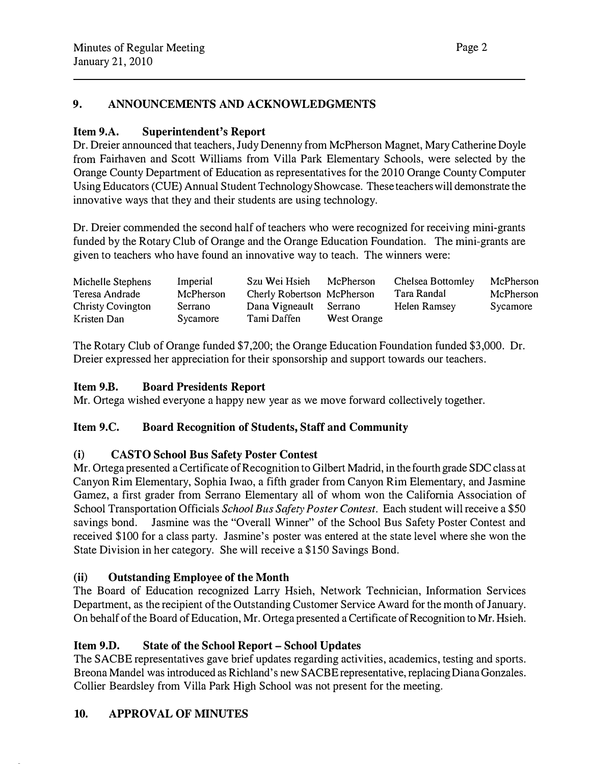# 9. ANNOUNCEMENTS AND ACKNOWLEDGMENTS

## Item 9.A. Superintendent's Report

Dr. Dreier announced that teachers, Judy Denenny from McPherson Magnet, Mary Catherine Doyle from Fairhaven and Scott Williams from Villa Park Elementary Schools, were selected by the Orange County Department of Education as representatives for the 2010 Orange County Computer Using Educators (CUE) Annual Student Technology Showcase. These teachers will demonstrate the innovative ways that they and their students are using technology.

Dr. Dreier commended the second half of teachers who were recognized for receiving mini-grants funded by the Rotary Club of Orange and the Orange Education Foundation. The mini-grants are given to teachers who have found an innovative way to teach. The winners were:

| Michelle Stephens        | Imperial  | Szu Wei Hsieh              | McPherson          | Chelsea Bottomley | McPherson |
|--------------------------|-----------|----------------------------|--------------------|-------------------|-----------|
| Teresa Andrade           | McPherson | Cherly Robertson McPherson |                    | Tara Randal       | McPherson |
| <b>Christy Covington</b> | Serrano   | Dana Vigneault             | Serrano            | Helen Ramsey      | Sycamore  |
| Kristen Dan              | Sycamore  | Tami Daffen                | <b>West Orange</b> |                   |           |

The Rotary Club of Orange funded \$7,200; the Orange Education Foundation funded \$3,000. Dr. Dreier expressed her appreciation for their sponsorship and support towards our teachers.

#### Item 9.B. Board Presidents Report

Mr. Ortega wished everyone a happy new year as we move forward collectively together.

## Item 9.C. Board Recognition of Students, Staff and Community

## (i) CASTO School Bus Safety Poster Contest

Mr. Ortega presented a Certificate of Recognition to Gilbert Madrid, in the fourth grade SDC class at Canyon Rim Elementary, Sophia Iwao, a fifth grader from Canyon Rim Elementary, and Jasmine Gamez, a first grader from Serrano Elementary all of whom won the California Association of School Transportation Officials School Bus Safety Poster Contest. Each student will receive a \$50 savings bond. Jasmine was the "Overall Winner" of the School Bus Safety Poster Contest and received \$100 for a class party. Jasmine's poster was entered at the state level where she won the State Division in her category. She will receive a \$150 Savings Bond.

## (ii) Outstanding Employee of the Month

The Board of Education recognized Larry Hsieh, Network Technician, Information Services Department, as the recipient of the Outstanding Customer Service Award for the month of January. On behalf of the Board of Education, Mr. Ortega presented a Certificate of Recognition to Mr. Hsieh.

## Item 9.D. State of the School Report- School Updates

The SACBE representatives gave brief updates regarding activities, academics, testing and sports. Breona Mandel was introduced as Richland's new SACBE representative, replacing Diana Gonzales. Collier Beardsley from Villa Park High School was not present for the meeting.

# 10. APPROVAL OF MINUTES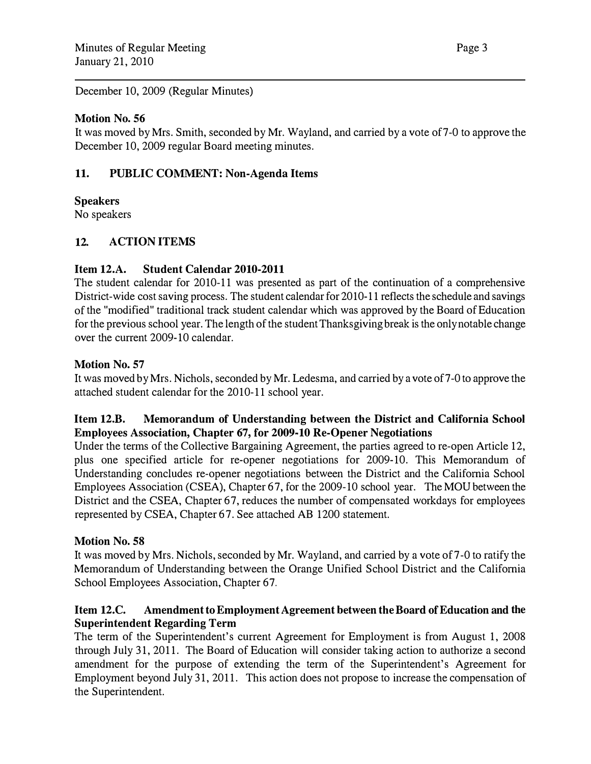December 10, 2009 (Regular Minutes)

## Motion No. 56

It was moved by Mrs. Smith, seconded by Mr. Wayland, and carried by a vote of7-0 to approve the December 10, 2009 regular Board meeting minutes.

## 11. PUBLIC COMMENT: Non-Agenda Items

## **Speakers**

No speakers

# 12. ACTION ITEMS

## Item 12.A. Student Calendar 2010-2011

The student calendar for 2010-11 was presented as part of the continuation of a comprehensive District-wide cost saving process. The student calendar for 2010-11 reflects the schedule and savings of the "modified" traditional track student calendar which was approved by the Board of Education for the previous school year. The length of the student Thanksgiving break is the only notable change over the current 2009-10 calendar.

## Motion No. 57

It was moved by Mrs. Nichols, seconded by Mr. Ledesma, and carried by a vote of7-0 to approve the attached student calendar for the 2010-11 school year.

## Item 12.B. Memorandum of Understanding between the District and California School Employees Association, Chapter 67, for 2009-10 Re-Opener Negotiations

Under the terms of the Collective Bargaining Agreement, the parties agreed to re-open Article 12, plus one specified article for re-opener negotiations for 2009-10. This Memorandum of Understanding concludes re-opener negotiations between the District and the California School Employees Association (CSEA), Chapter 67, for the 2009-10 school year. The MOU between the District and the CSEA, Chapter 67, reduces the number of compensated workdays for employees represented by CSEA, Chapter 67. See attached AB 1200 statement.

## Motion No. 58

It was moved by Mrs. Nichols, seconded by Mr. Wayland, and carried by a vote of7-0 to ratify the Memorandum of Understanding between the Orange Unified School District and the California School Employees Association, Chapter 67.

## Item 12.C. Amendment to Employment Agreement between the Board of Education and the Superintendent Regarding Term

The term of the Superintendent's current Agreement for Employment is from August 1, 2008 through July 31, 2011. The Board of Education will consider taking action to authorize a second amendment for the purpose of extending the term of the Superintendent's Agreement for Employment beyond July 31, 2011. This action does not propose to increase the compensation of the Superintendent.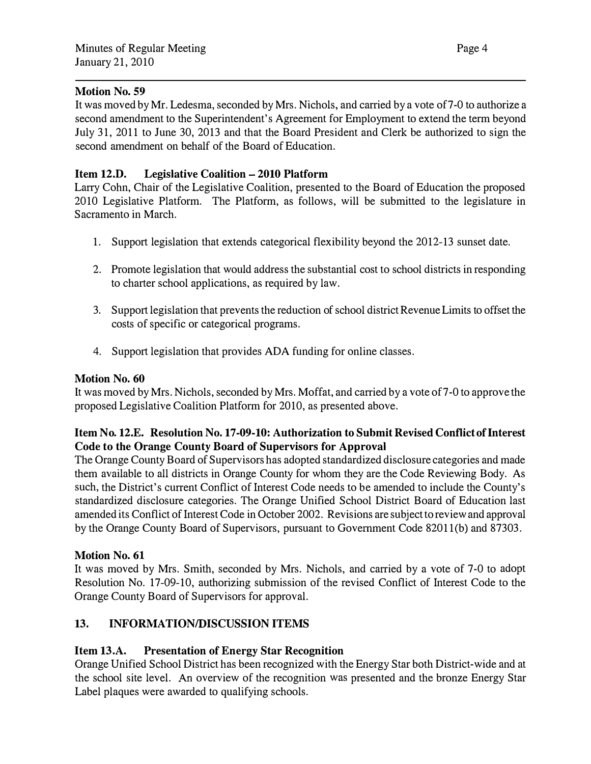#### Motion No. 59

It was moved by Mr. Ledesma, seconded by Mrs. Nichols, and carried by a vote of7-0 to authorize a second amendment to the Superintendent's Agreement for Employment to extend the term beyond July 31, 2011 to June 30, 2013 and that the Board President and Clerk be authorized to sign the second amendment on behalf of the Board of Education.

## Item 12.D. Legislative Coalition- 2010 Platform

Lany Cohn, Chair of the Legislative Coalition, presented to the Board of Education the proposed 2010 Legislative Platform. The Platform, as follows, will be submitted to the legislature in Sacramento in March.

- 1. Support legislation that extends categorical flexibility beyond the 2012-13 sunset date.
- 2. Promote legislation that would address the substantial cost to school districts in responding to charter school applications, as required by law.
- 3. Support legislation that prevents the reduction of school district Revenue Limits to offset the costs of specific or categorical programs.
- 4. Support legislation that provides ADA funding for online classes.

## Motion No. 60

It was moved by Mrs. Nichols, seconded by Mrs. Moffat, and carried by a vote of 7-0 to approve the proposed Legislative Coalition Platform for 2010, as presented above.

## Item No. 12.E. Resolution No. 17-09-10: Authorization to Submit Revised Conflict of Interest Code to the Orange County Board of Supervisors for Approval

The Orange County Board of Supervisors has adopted standardized disclosure categories and made them available to all districts in Orange County for whom they are the Code Reviewing Body. As such, the District's current Conflict of Interest Code needs to be amended to include the County's standardized disclosure categories. The Orange Unified School District Board of Education last amended its Conflict of Interest Code in October 2002. Revisions are subject to review and approval by the Orange County Board of Supervisors, pursuant to Government Code 82011(b) and 87303.

## Motion No. 61

It was moved by Mrs. Smith, seconded by Mrs. Nichols, and canied by a vote of 7-0 to adopt Resolution No. 17-09-10, authorizing submission of the revised Conflict of Interest Code to the Orange County Board of Supervisors for approval.

# 13. INFORMATION/DISCUSSION ITEMS

## Item 13.A. Presentation of Energy Star Recognition

Orange Unified School District has been recognized with the Energy Star both District-wide and at the school site level. An overview of the recognition was presented and the bronze Energy Star Label plaques were awarded to qualifying schools.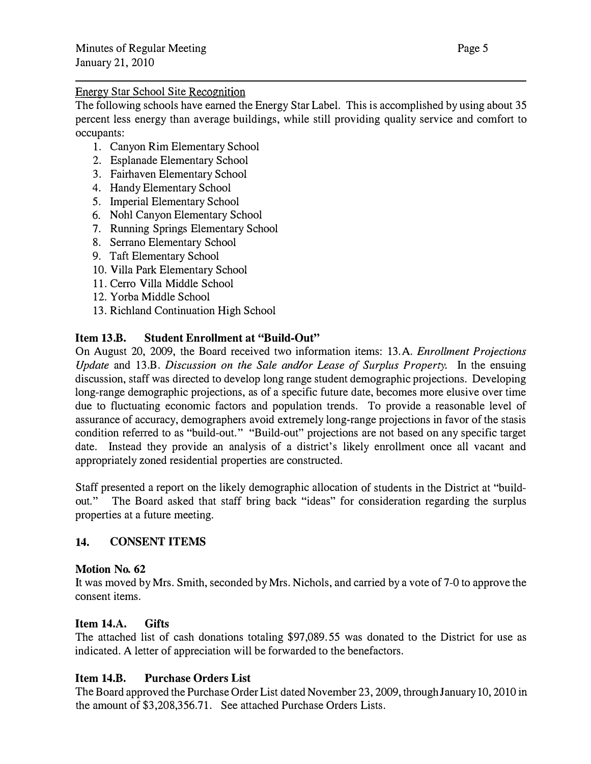#### Energy Star School Site Recognition

The following schools have earned the Energy Star Label. This is accomplished by using about 35 percent less energy than average buildings, while still providing quality service and comfort to occupants:

- 1. Canyon Rim Elementary School
- 2. Esplanade Elementary School
- 3. Fairhaven Elementary School
- 4. Handy Elementary School
- 5. Imperial Elementary School
- 6. Noh! Canyon Elementary School
- 7. Running Springs Elementary School
- 8. Serrano Elementary School
- 9. Taft Elementary School
- 10. Villa Park Elementary School
- 11. Cerro Villa Middle School
- 12. Yorba Middle School
- 13. Richland Continuation High School

## Item 13.B. Student Enrollment at "Build-Out"

On August 20, 2009, the Board received two information items: 13.A. Enrollment Projections Update and 13.B. Discussion on the Sale and/or Lease of Surplus Property. In the ensuing discussion, staff was directed to develop long range student demographic projections. Developing long-range demographic projections, as of a specific future date, becomes more elusive over time due to fluctuating economic factors and population trends. To provide a reasonable level of assurance of accuracy, demographers avoid extremely long-range projections in favor of the stasis condition referred to as "build-out." "Build-out" projections are not based on any specific target date. Instead they provide an analysis of a district's likely emollment once all vacant and appropriately zoned residential properties are constructed.

Staff presented a report on the likely demographic allocation of students in the District at "buildout." The Board asked that staff bring back "ideas" for consideration regarding the surplus properties at a future meeting.

## 14. CONSENT ITEMS

## Motion No. 62

It was moved by Mrs. Smith, seconded by Mrs. Nichols, and carried by a vote of7-0 to approve the consent items.

## Item 14.A. Gifts

The attached list of cash donations totaling \$97,089.55 was donated to the District for use as indicated. A letter of appreciation will be forwarded to the benefactors.

# Item 14.B. Purchase Orders List

The Board approved the Purchase Order List dated November 23, 2009, through January 10, 2010 in the amount of \$3,208,356.71. See attached Purchase Orders Lists.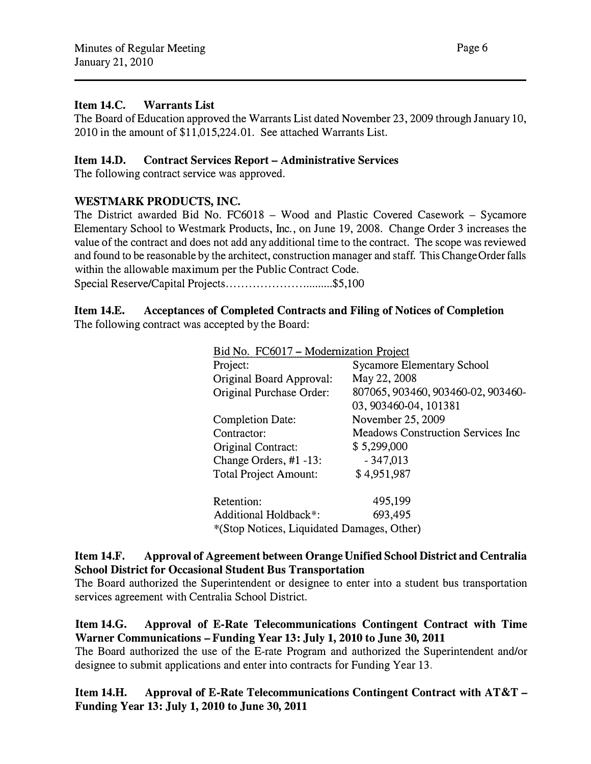## Item 14.C. Warrants List

The Board of Education approved the Warrants List dated November 23, 2009 through January 10, 2010 in the amount of \$11,015,224.01. See attached Warrants List.

#### Item 14.D. Contract Services Report- Administrative Services

The following contract service was approved.

## WESTMARK PRODUCTS, INC.

The District awarded Bid No. FC6018 - Wood and Plastic Covered Casework - Sycamore Elementary School to Westmark Products, Inc., on June 19, 2008. Change Order 3 increases the value of the contract and does not add any additional time to the contract. The scope was reviewed and found to be reasonable by the architect, construction manager and staff. This Change Order falls within the allowable maximum per the Public Contract Code.

Special Reserve/Capital Projects .............................. \$5,100

# Item 14.E. Acceptances of Completed Contracts and Filing of Notices of Completion

The following contract was accepted by the Board:

| Bid No. FC6017 - Modernization Project     |                                          |  |  |  |
|--------------------------------------------|------------------------------------------|--|--|--|
| Project:                                   | <b>Sycamore Elementary School</b>        |  |  |  |
| Original Board Approval:                   | May 22, 2008                             |  |  |  |
| Original Purchase Order:                   | 807065, 903460, 903460-02, 903460-       |  |  |  |
|                                            | 03, 903460-04, 101381                    |  |  |  |
| <b>Completion Date:</b>                    | November 25, 2009                        |  |  |  |
| Contractor:                                | <b>Meadows Construction Services Inc</b> |  |  |  |
| Original Contract:                         | \$5,299,000                              |  |  |  |
| Change Orders, #1 -13:                     | $-347,013$                               |  |  |  |
| <b>Total Project Amount:</b>               | \$4,951,987                              |  |  |  |
| Retention:                                 | 495,199                                  |  |  |  |
| Additional Holdback*:                      | 693,495                                  |  |  |  |
| *(Stop Notices, Liquidated Damages, Other) |                                          |  |  |  |

#### Item 14.F. Approval of Agreement between Orange Unified School District and Centralia School District for Occasional Student Bus Transportation

The Board authorized the Superintendent or designee to enter into a student bus transportation services agreement with Centralia School District.

Item 14.G. Approval of E-Rate Telecommunications Contingent Contract with Time Warner Communications- Funding Year 13: July 1, 2010 to June 30, 2011

The Board authorized the use of the E-rate Program and authorized the Superintendent and/or designee to submit applications and enter into contracts for Funding Year 13.

Item 14.H. Approval of E-Rate Telecommunications Contingent Contract with AT&T-Funding Year 13: July 1, 2010 to June 30, 2011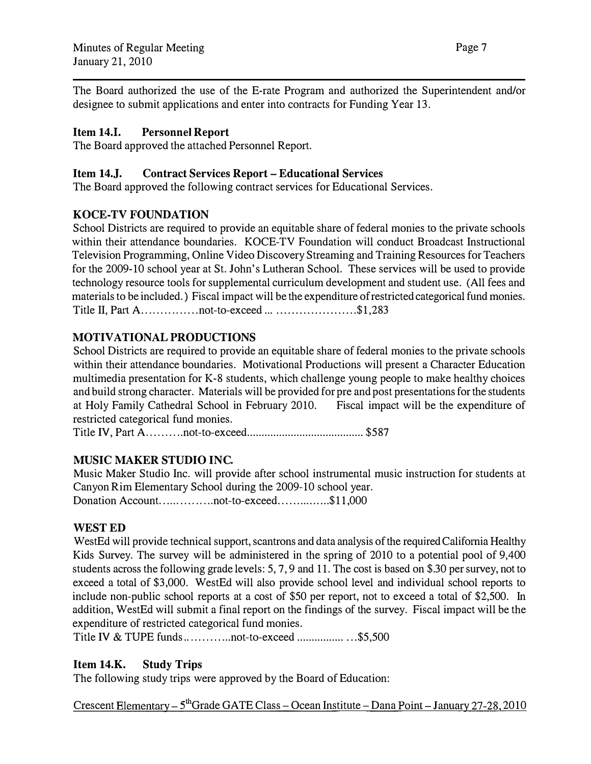The Board authorized the use of the E-rate Program and authorized the Superintendent and/or designee to submit applications and enter into contracts for Funding Year 13.

# Item 14.1. Personnel Report

The Board approved the attached Personnel Report.

# Item 14.J. Contract Services Report- Educational Services

The Board approved the following contract services for Educational Services.

## KOCE-TV FOUNDATION

School Districts are required to provide an equitable share of federal monies to the private schools within their attendance boundaries. KOCE-TV Foundation will conduct Broadcast Instructional Television Programming, Online Video Discovery Streaming and Training Resources for Teachers for the 2009-10 school year at St. John's Lutheran School. These services will be used to provide technology resource tools for supplemental curriculum development and student use. (All fees and materials to be included.) Fiscal impact will be the expenditure of restricted categorical fund monies. Title II, Part A.................not-to-exceed ... ......................\$1,283

# MOTIVATIONAL PRODUCTIONS

School Districts are required to provide an equitable share of federal monies to the private schools within their attendance boundaries. Motivational Productions will present a Character Education multimedia presentation for K-8 students, which challenge young people to make healthy choices and build strong character. Materials will be provided for pre and post presentations for the students at Holy Family Cathedral School in February 2010. Fiscal impact will be the expenditure of restricted categorical fund monies.

Title IV, Part A ........ .. not-to-exceed ........................................ \$587

# MUSIC MAKER STUDIO INC.

Music Maker Studio Inc. will provide after school instrumental music instruction for students at Canyon Rim Elementary School during the 2009-10 school year. Donation Account . ..... ... . .. ... not -to-exceed .... . ....... ... \$11 ,000

# WEST ED

WestEd will provide technical support, scantrons and data analysis of the required California Healthy Kids Survey. The survey will be administered in the spring of 2010 to a potential pool of 9,400 students across the following grade levels: 5, 7, 9 and 11. The cost is based on \$.30 per survey, not to exceed a total of \$3,000. WestEd will also provide school level and individual school reports to include non-public school reports at a cost of \$50 per report, not to exceed a total of \$2,500. In addition, WestEd will submit a final report on the findings of the survey. Fiscal impact will be the expenditure of restricted categorical fund monies.

Title IV & TUPE funds ............. not-to-exceed ................ . .. \$5,500

# Item 14.K. Study Trips

The following study trips were approved by the Board of Education:

Crescent Elementary –  $5<sup>th</sup>$ Grade GATE Class – Ocean Institute – Dana Point – January 27-28, 2010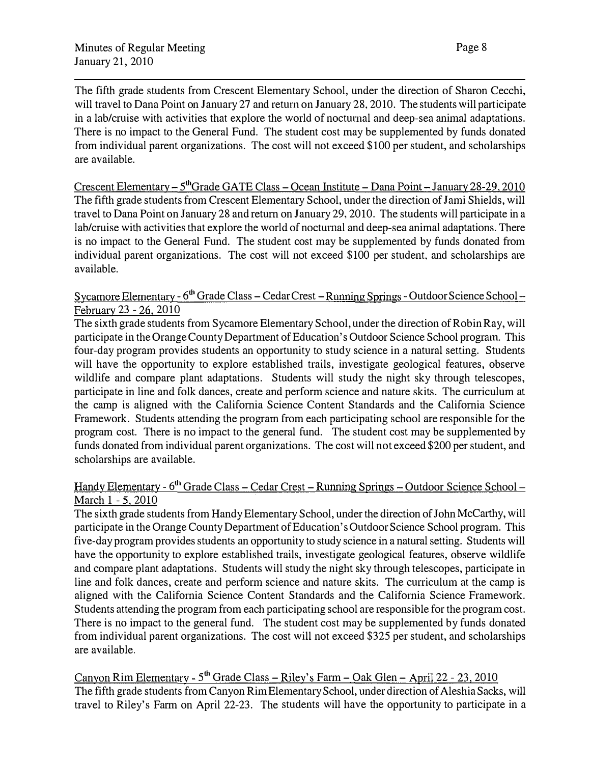The fifth grade students from Crescent Elementary School, under the direction of Sharon Cecchi, will travel to Dana Point on January 27 and return on January 28, 2010. The students will participate in a lab/cruise with activities that explore the world of nocturnal and deep-sea animal adaptations. There is no impact to the General Fund. The student cost may be supplemented by funds donated from individual parent organizations. The cost will not exceed \$100 per student, and scholarships are available.

Crescent Elementary – 5<sup>th</sup>Grade GATE Class – Ocean Institute – Dana Point – January 28-29, 2010 The fifth grade students from Crescent Elementary School, under the direction of Jami Shields, will travel to Dana Point on January 28 and return on January 29, 2010. The students will participate in a lab/cruise with activities that explore the world of noctumal and deep-sea animal adaptations. There is no impact to the General Fund. The student cost may be supplemented by funds donated from individual parent organizations. The cost will not exceed \$100 per student, and scholarships are available.

## <u>Sycamore Elementary - 6<sup>th</sup> Grade Class – Cedar Crest – Running Springs - Outdoor Science School – </u> February 23 - 26, 2010

The sixth grade students from Sycamore Elementary School, under the direction of Robin Ray, will participate in the Orange County Department of Education's Outdoor Science School progrmn. This four-day program provides students an opportunity to study science in a natural setting. Students will have the opportunity to explore established trails, investigate geological features, observe wildlife and compare plant adaptations. Students will study the night sky through telescopes, participate in line and folk dances, create and perform science and nature skits. The curriculum at the camp is aligned with the California Science Content Standards and the California Science Framework. Students attending the program from each participating school are responsible for the program cost. There is no impact to the general fund. The student cost may be supplemented by funds donated from individual parent organizations. The cost will not exceed \$200 per student, and scholarships are available.

## Handy Elementary - 6<sup>th</sup> Grade Class – Cedar Crest – Running Springs – Outdoor Science School – March 1 - 5, 2010

The sixth grade students from Handy Elementary School, under the direction of John McCarthy, will participate in the Orange County Department of Education's Outdoor Science School program. This five-day program provides students an opportunity to study science in a natural setting. Students will have the opportunity to explore established trails, investigate geological features, observe wildlife and compare plant adaptations. Students will study the night sky through telescopes, participate in line and folk dances, create and perform science and nature skits. The curriculum at the camp is aligned with the California Science Content Standards and the California Science Framework. Students attending the program from each participating school are responsible for the program cost. There is no impact to the general fund. The student cost may be supplemented by funds donated from individual parent organizations. The cost will not exceed \$325 per student, and scholarships are available.

Canyon Rim Elementary - 5<sup>th</sup> Grade Class – Riley's Farm – Oak Glen – April 22 - 23, 2010 The fifth grade students from Canyon Rim Elementary School, under direction of Aleshia Sacks, will travel to Riley's Farm on April 22-23. The students will have the opportunity to participate in a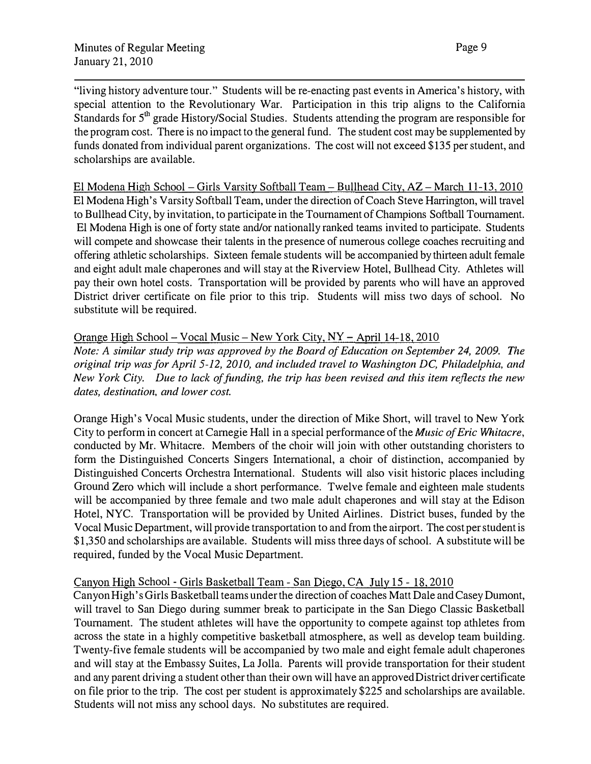"living history adventure tour." Students will be re-enacting past events in America's history, with special attention to the Revolutionary War. Participation in this trip aligns to the California Standards for 5<sup>th</sup> grade History/Social Studies. Students attending the program are responsible for the program cost. There is no impact to the general fund. The student cost may be supplemented by funds donated from individual parent organizations. The cost will not exceed \$135 per student, and scholarships are available.

El Modena High School - Girls Varsity Softball Team - Bullhead City, AZ - March 11-13, 2010 El Modena High's Varsity Softball Team, under the direction of Coach Steve Harrington, will travel to Bullhead City, by invitation, to participate in the Tournament of Champions Softball Tournament. El Modena High is one of forty state and/or nationally ranked teams invited to participate. Students will compete and showcase their talents in the presence of numerous college coaches recruiting and offering athletic scholarships. Sixteen female students will be accompanied by thirteen adult female and eight adult male chaperones and will stay at the Riverview Hotel, Bullhead City. Athletes will pay their own hotel costs. Transportation will be provided by parents who will have an approved District driver certificate on file prior to this trip. Students will miss two days of school. No substitute will be required.

## Orange High School- Vocal Music - New York City, NY- April 14-18, 2010

Note: A similar study trip was approved by the Board of Education on September 24, 2009. The original trip was for April 5-12, 2010, and included travel to Washington DC, Philadelphia, and New York City. Due to lack of funding, the trip has been revised and this item reflects the new dates, destination, and lower cost.

Orange High's Vocal Music students, under the direction of Mike Short, will travel to New York City to perform in concert at Carnegie Hall in a special performance of the *Music of Eric Whitacre*, conducted by Mr. Whitacre. Members of the choir will join with other outstanding choristers to form the Distinguished Concerts Singers International, a choir of distinction, accompanied by Distinguished Concerts Orchestra International. Students will also visit historic places including Ground Zero which will include a short performance. Twelve female and eighteen male students will be accompanied by three female and two male adult chaperones and will stay at the Edison Hotel, NYC. Transportation will be provided by United Airlines. District buses, funded by the Vocal Music Department, will provide transportation to and from the airport. The cost per student is \$1,350 and scholarships are available. Students will miss three days of school. A substitute will be required, funded by the Vocal Music Department.

# Canyon High School - Girls Basketball Team - San Diego, CA July 15 - 18, 2010

Canyon High's Girls Basketball teams under the direction of coaches Matt Dale and Casey Dumont, will travel to San Diego during summer break to participate in the San Diego Classic Basketball Tournament. The student athletes will have the opportunity to compete against top athletes from across the state in a highly competitive basketball atmosphere, as well as develop team building. Twenty-five female students will be accompanied by two male and eight female adult chaperones and will stay at the Embassy Suites, La Jolla. Parents will provide transportation for their student and any parent driving a student other than their own will have an approved District driver certificate on file prior to the trip. The cost per student is approximately \$225 and scholarships are available. Students will not miss any school days. No substitutes are required.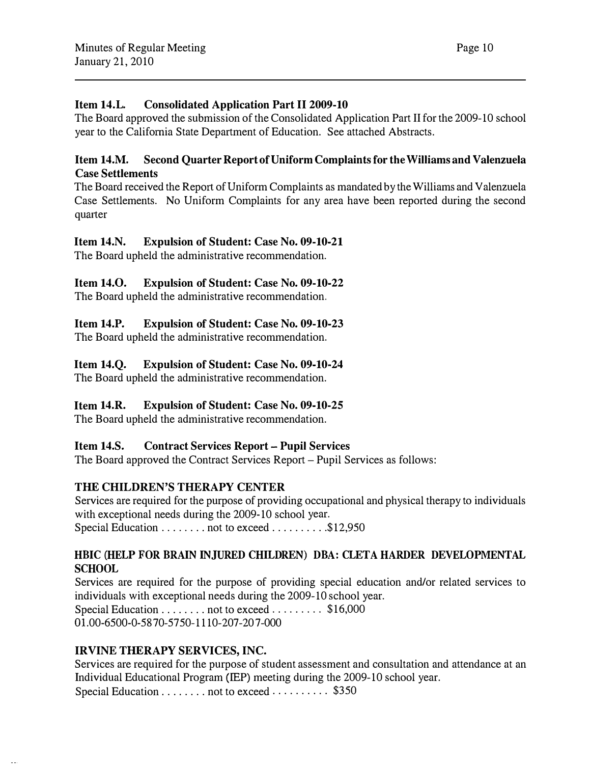## Item 14.1. Consolidated Application Part II 2009-10

The Board approved the submission of the Consolidated Application Part II for the 2009-10 school year to the California State Department of Education. See attached Abstracts.

# Item 14.M. Second Quarter Report of Uniform Complaints for the Williams and Valenzuela Case Settlements

The Board received the Report of Uniform Complaints as mandated by the Williams and Valenzuela Case Settlements. No Uniform Complaints for any area have been reported during the second quarter

# Item 14.N. Expulsion of Student: Case No. 09-10-21

The Board upheld the administrative recommendation.

# Item 14.0. Expulsion of Student: Case No. 09-10-22

The Board upheld the administrative recommendation.

# Item 14.P. Expulsion of Student: Case No. 09-10-23

The Board upheld the administrative recommendation.

## Item 14.Q. Expulsion of Student: Case No. 09-10-24

The Board upheld the administrative recommendation.

# Item 14.R. Expulsion of Student: Case No. 09-10-25

The Board upheld the administrative recommendation.

# Item 14.S. Contract Services Report- Pupil Services

The Board approved the Contract Services Report - Pupil Services as follows:

# THE CHILDREN'S THERAPY CENTER

Services are required for the purpose of providing occupational and physical therapy to individuals with exceptional needs during the 2009-10 school year.

Special Education . . . . . . . . not to exceed . . . . . . . . . \$12,950

## HBIC (HELP FOR BRAIN INJURED CHILDREN) DBA: CLETA HARDER DEVELOPMENTAL SCHOOL

Services are required for the purpose of providing special education and/or related services to individuals with exceptional needs during the 2009-10 school year. Special Education . . . . . . . . not to exceed . . . . . . . . \$16,000

Ol .00-6500-0-5870-5750-1110-207-207-000

# IRVINE THERAPY SERVICES, INC.

Services are required for the purpose of student assessment and consultation and attendance at an Individual Educational Program (IEP) meeting during the 2009-10 school year. Special Education . . . . . . . . not to exceed . . . . . . . . . \$350